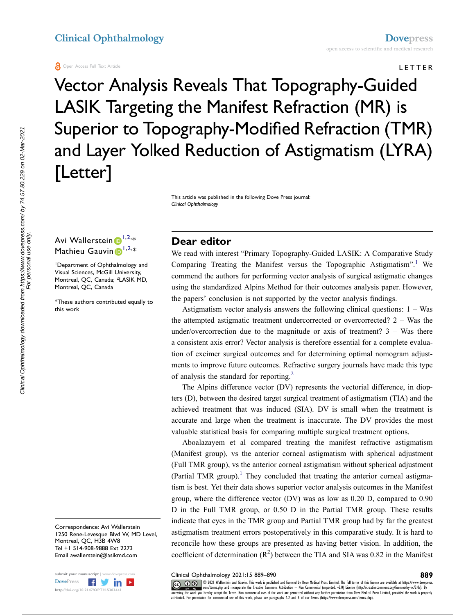#### **A** Open Access Full Text Article

Vector Analysis Reveals That Topography-Guided LASIK Targeting the Manifest Refraction (MR) is Superior to Topography-Modified Refraction (TMR) and Layer Yolked Reduction of Astigmatism (LYRA) [Letter]

> This article was published in the following Dove Press journal: *Clinical Ophthalmology*



<span id="page-0-1"></span><span id="page-0-0"></span>1 Department of Ophthalmology and Visual Sciences, McGill University, Montreal, QC, Canada; <sup>2</sup>LASIK MD, Montreal, QC, Canada

\*These authors contributed equally to this work

Correspondence: Avi Wallerstein 1250 Rene-Levesque Blvd W, MD Level, Montreal, QC, H3B 4W8 Tel +1 514-908-9888 Ext 2273 Email [awallerstein@lasikmd.com](mailto:awallerstein@lasikmd.com)



Ciinical Ophthalmology downloaded from https://www.dovepress.com/ by 74.57.80.229 on 02-Mar-2021<br>Ciinical Ophthalmology downloaded from personal use only. Clinical Ophthalmology downloaded from https://www.dovepress.com/ by 74.57.80.229 on 02-Mar-2021 For personal use only.

# **Dear editor**

We read with interest "Primary Topography-Guided LASIK: A Comparative Study Comparing Treating the Manifest versus the Topographic Astigmatism".<sup>1</sup> We commend the authors for performing vector analysis of surgical astigmatic changes using the standardized Alpins Method for their outcomes analysis paper. However, the papers' conclusion is not supported by the vector analysis findings.

Astigmatism vector analysis answers the following clinical questions: 1 – Was the attempted astigmatic treatment undercorrected or overcorrected? 2 – Was the under/overcorrection due to the magnitude or axis of treatment?  $3 - Was$  there a consistent axis error? Vector analysis is therefore essential for a complete evaluation of excimer surgical outcomes and for determining optimal nomogram adjustments to improve future outcomes. Refractive surgery journals have made this type of analysis the standard for reporting.[2](#page-1-1)

<span id="page-0-3"></span>The Alpins difference vector (DV) represents the vectorial difference, in diopters (D), between the desired target surgical treatment of astigmatism (TIA) and the achieved treatment that was induced (SIA). DV is small when the treatment is accurate and large when the treatment is inaccurate. The DV provides the most valuable statistical basis for comparing multiple surgical treatment options.

<span id="page-0-2"></span>Aboalazayem et al compared treating the manifest refractive astigmatism (Manifest group), vs the anterior corneal astigmatism with spherical adjustment (Full TMR group), vs the anterior corneal astigmatism without spherical adjustment (Partial TMR group).<sup>1</sup> They concluded that treating the anterior corneal astigmatism is best. Yet their data shows superior vector analysis outcomes in the Manifest group, where the difference vector (DV) was as low as 0.20 D, compared to 0.90 D in the Full TMR group, or 0.50 D in the Partial TMR group. These results indicate that eyes in the TMR group and Partial TMR group had by far the greatest astigmatism treatment errors postoperatively in this comparative study. It is hard to reconcile how these groups are presented as having better vision. In addition, the coefficient of determination  $(R^2)$  between the TIA and SIA was 0.82 in the Manifest

submit your manuscript | www.dovepress.com **Clinical Ophthalmology 2021:15 889–890 BOS BOS BOS BOS BOS BOS BOS BOS BUS BOS BOS BUS BUS BUS BUS BUS BUS BUS BUS BUS BUS BUS BUS** DOVEN DE COOR COUNTENT IN THE SERVIEW ON THE SERVIEW ON THE SERVIEW ON THE SERVIEW ON THE SERVIEW ON THE SERVIEW OF THE SERVIEW OF THE SERVIEW OF THE SERVIEW OF THE SERVIEW OF THE SERVIEW OF THE SERVIEW OF THE SERVIEW OF T attributed. For permission for commercial use of this work, please see paragraphs 4.2 and 5 of our Terms (https://www.dovepress.com/terms.php).

LETTER